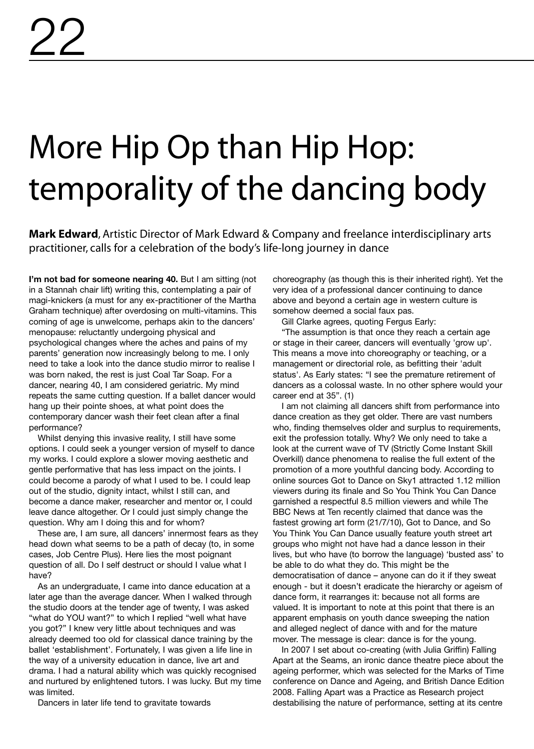## More Hip Op than Hip Hop: temporality of the dancing body

**Mark Edward**, Artistic Director of Mark Edward & Company and freelance interdisciplinary arts practitioner, calls for a celebration of the body's life-long journey in dance

**I'm not bad for someone nearing 40.** But I am sitting (not in a Stannah chair lift) writing this, contemplating a pair of magi-knickers (a must for any ex-practitioner of the Martha Graham technique) after overdosing on multi-vitamins. This coming of age is unwelcome, perhaps akin to the dancers' menopause: reluctantly undergoing physical and psychological changes where the aches and pains of my parents' generation now increasingly belong to me. I only need to take a look into the dance studio mirror to realise I was born naked, the rest is just Coal Tar Soap. For a dancer, nearing 40, I am considered geriatric. My mind repeats the same cutting question. If a ballet dancer would hang up their pointe shoes, at what point does the contemporary dancer wash their feet clean after a final performance?

Whilst denying this invasive reality, I still have some options. I could seek a younger version of myself to dance my works. I could explore a slower moving aesthetic and gentle performative that has less impact on the joints. I could become a parody of what I used to be. I could leap out of the studio, dignity intact, whilst I still can, and become a dance maker, researcher and mentor or, I could leave dance altogether. Or I could just simply change the question. Why am I doing this and for whom?

These are, I am sure, all dancers' innermost fears as they head down what seems to be a path of decay (to, in some cases, Job Centre Plus). Here lies the most poignant question of all. Do I self destruct or should I value what I have?

As an undergraduate, I came into dance education at a later age than the average dancer. When I walked through the studio doors at the tender age of twenty, I was asked "what do YOU want?" to which I replied "well what have you got?" I knew very little about techniques and was already deemed too old for classical dance training by the ballet 'establishment'. Fortunately, I was given a life line in the way of a university education in dance, live art and drama. I had a natural ability which was quickly recognised and nurtured by enlightened tutors. I was lucky. But my time was limited.

Dancers in later life tend to gravitate towards

choreography (as though this is their inherited right). Yet the very idea of a professional dancer continuing to dance above and beyond a certain age in western culture is somehow deemed a social faux pas.

Gill Clarke agrees, quoting Fergus Early:

"The assumption is that once they reach a certain age or stage in their career, dancers will eventually 'grow up'. This means a move into choreography or teaching, or a management or directorial role, as befitting their 'adult status'. As Early states: "I see the premature retirement of dancers as a colossal waste. In no other sphere would your career end at 35". (1)

I am not claiming all dancers shift from performance into dance creation as they get older. There are vast numbers who, finding themselves older and surplus to requirements, exit the profession totally. Why? We only need to take a look at the current wave of TV (Strictly Come Instant Skill Overkill) dance phenomena to realise the full extent of the promotion of a more youthful dancing body. According to online sources Got to Dance on Sky1 attracted 1.12 million viewers during its finale and So You Think You Can Dance garnished a respectful 8.5 million viewers and while The BBC News at Ten recently claimed that dance was the fastest growing art form (21/7/10), Got to Dance, and So You Think You Can Dance usually feature youth street art groups who might not have had a dance lesson in their lives, but who have (to borrow the language) 'busted ass' to be able to do what they do. This might be the democratisation of dance – anyone can do it if they sweat enough - but it doesn't eradicate the hierarchy or ageism of dance form, it rearranges it: because not all forms are valued. It is important to note at this point that there is an apparent emphasis on youth dance sweeping the nation and alleged neglect of dance with and for the mature mover. The message is clear: dance is for the young.

In 2007 I set about co-creating (with Julia Griffin) Falling Apart at the Seams, an ironic dance theatre piece about the ageing performer, which was selected for the Marks of Time conference on Dance and Ageing, and British Dance Edition 2008. Falling Apart was a Practice as Research project destabilising the nature of performance, setting at its centre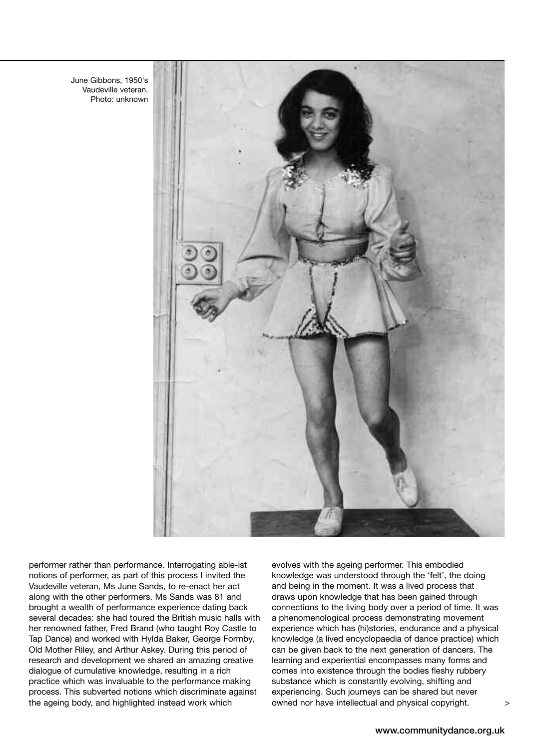June Gibbons, 1950's Vaudeville veteran. Photo: unknown



performer rather than performance. Interrogating able-ist notions of performer, as part of this process I invited the Vaudeville veteran, Ms June Sands, to re-enact her act along with the other performers. Ms Sands was 81 and brought a wealth of performance experience dating back several decades: she had toured the British music halls with her renowned father, Fred Brand (who taught Roy Castle to Tap Dance) and worked with Hylda Baker, George Formby, Old Mother Riley, and Arthur Askey. During this period of research and development we shared an amazing creative dialogue of cumulative knowledge, resulting in a rich practice which was invaluable to the performance making process. This subverted notions which discriminate against the ageing body, and highlighted instead work which

evolves with the ageing performer. This embodied knowledge was understood through the 'felt', the doing and being in the moment. It was a lived process that draws upon knowledge that has been gained through connections to the living body over a period of time. It was a phenomenological process demonstrating movement experience which has (hi)stories, endurance and a physical knowledge (a lived encyclopaedia of dance practice) which can be given back to the next generation of dancers. The learning and experiential encompasses many forms and comes into existence through the bodies fleshy rubbery substance which is constantly evolving, shifting and experiencing. Such journeys can be shared but never owned nor have intellectual and physical copyright.

>